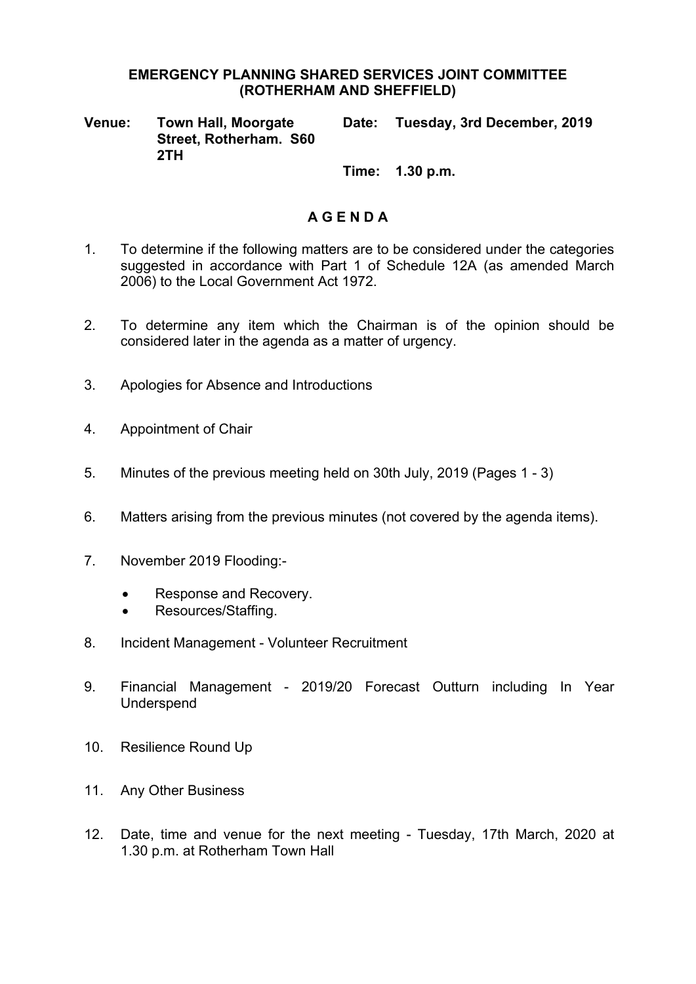### **EMERGENCY PLANNING SHARED SERVICES JOINT COMMITTEE (ROTHERHAM AND SHEFFIELD)**

**Venue: Town Hall, Moorgate Street, Rotherham. S60 2TH Date: Tuesday, 3rd December, 2019**

**Time: 1.30 p.m.**

# **A G E N D A**

- 1. To determine if the following matters are to be considered under the categories suggested in accordance with Part 1 of Schedule 12A (as amended March 2006) to the Local Government Act 1972.
- 2. To determine any item which the Chairman is of the opinion should be considered later in the agenda as a matter of urgency.
- 3. Apologies for Absence and Introductions
- 4. Appointment of Chair
- 5. Minutes of the previous meeting held on 30th July, 2019 (Pages 1 3)
- 6. Matters arising from the previous minutes (not covered by the agenda items).
- 7. November 2019 Flooding:-
	- Response and Recovery.
	- Resources/Staffing.
- 8. Incident Management Volunteer Recruitment
- 9. Financial Management 2019/20 Forecast Outturn including In Year Underspend
- 10. Resilience Round Up
- 11. Any Other Business
- 12. Date, time and venue for the next meeting Tuesday, 17th March, 2020 at 1.30 p.m. at Rotherham Town Hall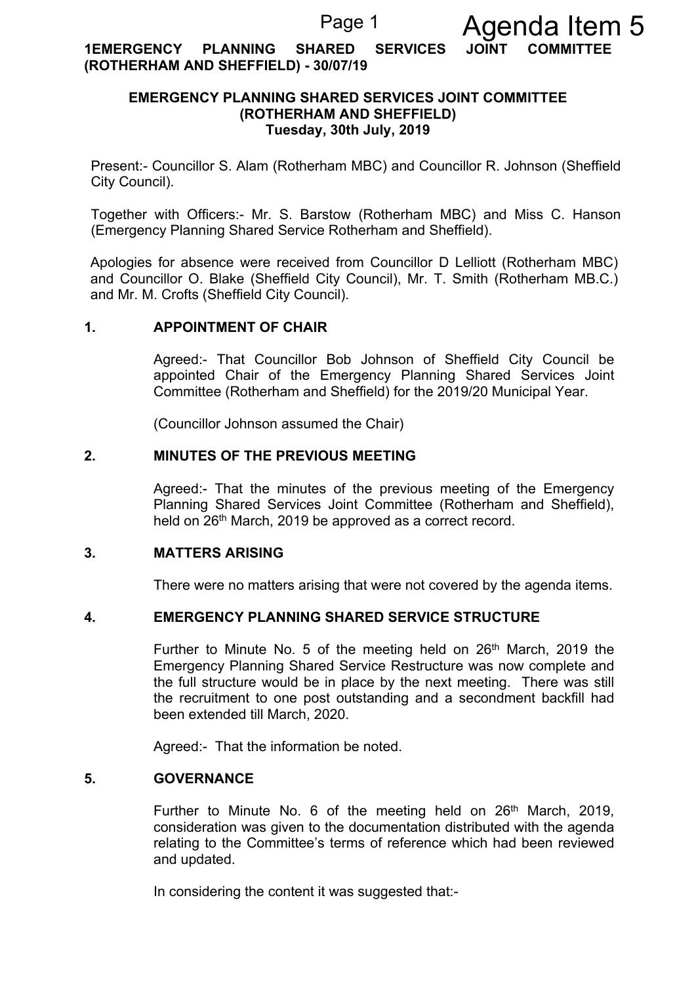**1EMERGENCY PLANNING SHARED SERVICES JOINT COMMITTEE (ROTHERHAM AND SHEFFIELD) - 30/07/19**

## **EMERGENCY PLANNING SHARED SERVICES JOINT COMMITTEE (ROTHERHAM AND SHEFFIELD) Tuesday, 30th July, 2019**

Present:- Councillor S. Alam (Rotherham MBC) and Councillor R. Johnson (Sheffield City Council).

Together with Officers:- Mr. S. Barstow (Rotherham MBC) and Miss C. Hanson (Emergency Planning Shared Service Rotherham and Sheffield).

Apologies for absence were received from Councillor D Lelliott (Rotherham MBC) and Councillor O. Blake (Sheffield City Council), Mr. T. Smith (Rotherham MB.C.) and Mr. M. Crofts (Sheffield City Council).

### **1. APPOINTMENT OF CHAIR**

Agreed:- That Councillor Bob Johnson of Sheffield City Council be appointed Chair of the Emergency Planning Shared Services Joint Committee (Rotherham and Sheffield) for the 2019/20 Municipal Year.

(Councillor Johnson assumed the Chair)

## **2. MINUTES OF THE PREVIOUS MEETING**

Agreed:- That the minutes of the previous meeting of the Emergency Planning Shared Services Joint Committee (Rotherham and Sheffield), held on 26<sup>th</sup> March, 2019 be approved as a correct record.

### **3. MATTERS ARISING**

There were no matters arising that were not covered by the agenda items.

#### **4. EMERGENCY PLANNING SHARED SERVICE STRUCTURE**

Further to Minute No. 5 of the meeting held on  $26<sup>th</sup>$  March, 2019 the Emergency Planning Shared Service Restructure was now complete and the full structure would be in place by the next meeting. There was still the recruitment to one post outstanding and a secondment backfill had been extended till March, 2020.

Agreed:- That the information be noted.

### **5. GOVERNANCE**

Further to Minute No. 6 of the meeting held on 26<sup>th</sup> March, 2019, consideration was given to the documentation distributed with the agenda relating to the Committee's terms of reference which had been reviewed and updated.

In considering the content it was suggested that:-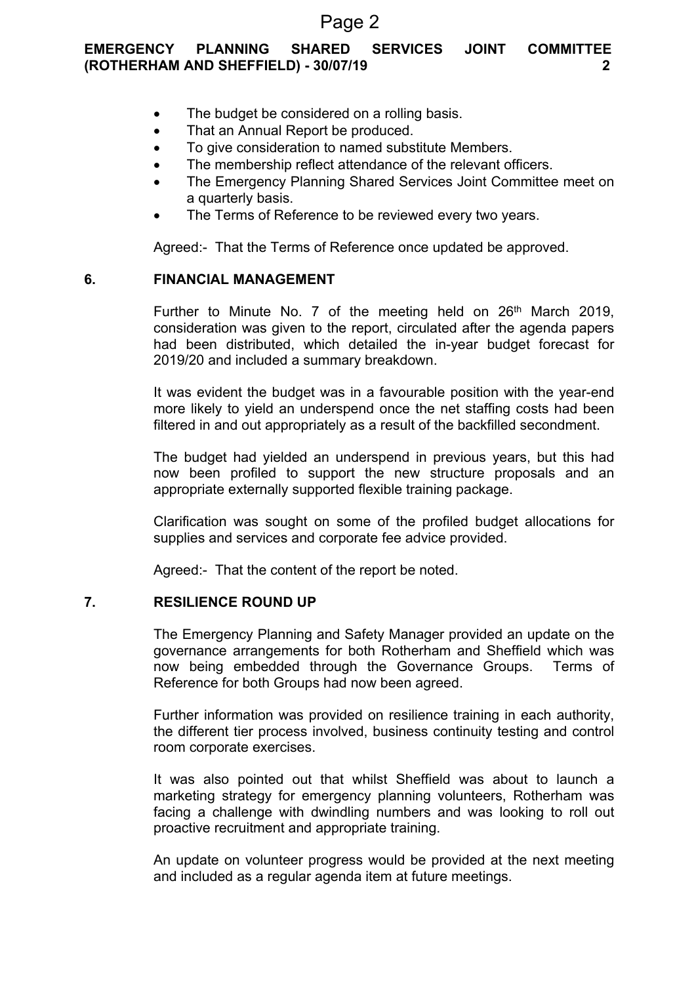# Page 2

# **EMERGENCY PLANNING SHARED SERVICES JOINT COMMITTEE (ROTHERHAM AND SHEFFIELD) - 30/07/19 2**

- The budget be considered on a rolling basis.
- That an Annual Report be produced.
- To give consideration to named substitute Members.
- The membership reflect attendance of the relevant officers.
- The Emergency Planning Shared Services Joint Committee meet on a quarterly basis.
- The Terms of Reference to be reviewed every two years.

Agreed:- That the Terms of Reference once updated be approved.

### **6. FINANCIAL MANAGEMENT**

Further to Minute No. 7 of the meeting held on  $26<sup>th</sup>$  March 2019, consideration was given to the report, circulated after the agenda papers had been distributed, which detailed the in-year budget forecast for 2019/20 and included a summary breakdown.

It was evident the budget was in a favourable position with the year-end more likely to yield an underspend once the net staffing costs had been filtered in and out appropriately as a result of the backfilled secondment.

The budget had yielded an underspend in previous years, but this had now been profiled to support the new structure proposals and an appropriate externally supported flexible training package.

Clarification was sought on some of the profiled budget allocations for supplies and services and corporate fee advice provided.

Agreed:- That the content of the report be noted.

### **7. RESILIENCE ROUND UP**

The Emergency Planning and Safety Manager provided an update on the governance arrangements for both Rotherham and Sheffield which was now being embedded through the Governance Groups. Terms of Reference for both Groups had now been agreed.

Further information was provided on resilience training in each authority, the different tier process involved, business continuity testing and control room corporate exercises.

It was also pointed out that whilst Sheffield was about to launch a marketing strategy for emergency planning volunteers, Rotherham was facing a challenge with dwindling numbers and was looking to roll out proactive recruitment and appropriate training.

An update on volunteer progress would be provided at the next meeting and included as a regular agenda item at future meetings.